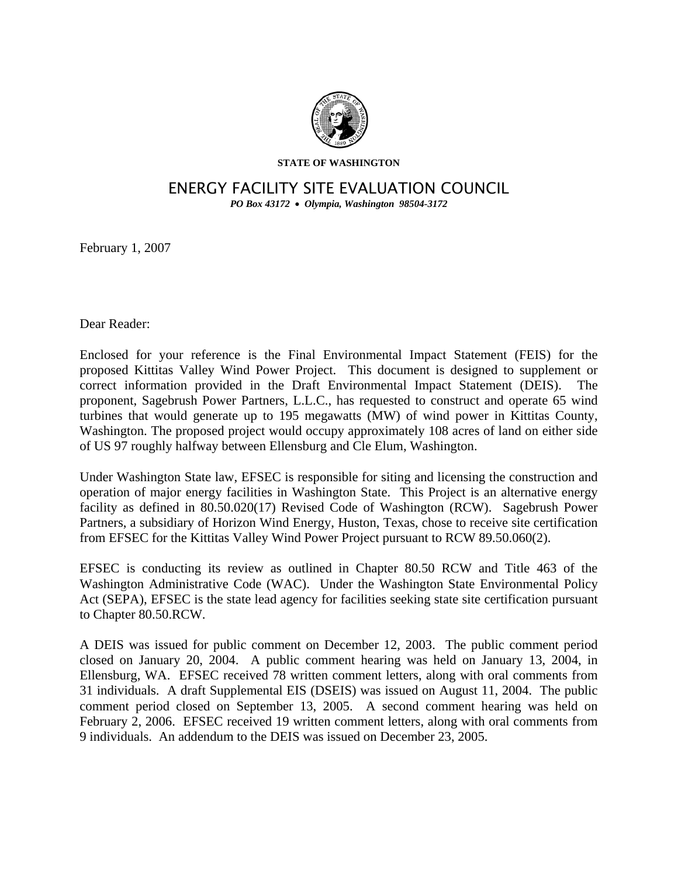

**STATE OF WASHINGTON** 

## ENERGY FACILITY SITE EVALUATION COUNCIL

*PO Box 43172* • *Olympia, Washington 98504-3172* 

February 1, 2007

Dear Reader:

Enclosed for your reference is the Final Environmental Impact Statement (FEIS) for the proposed Kittitas Valley Wind Power Project. This document is designed to supplement or correct information provided in the Draft Environmental Impact Statement (DEIS). The proponent, Sagebrush Power Partners, L.L.C., has requested to construct and operate 65 wind turbines that would generate up to 195 megawatts (MW) of wind power in Kittitas County, Washington. The proposed project would occupy approximately 108 acres of land on either side of US 97 roughly halfway between Ellensburg and Cle Elum, Washington.

Under Washington State law, EFSEC is responsible for siting and licensing the construction and operation of major energy facilities in Washington State. This Project is an alternative energy facility as defined in 80.50.020(17) Revised Code of Washington (RCW). Sagebrush Power Partners, a subsidiary of Horizon Wind Energy, Huston, Texas, chose to receive site certification from EFSEC for the Kittitas Valley Wind Power Project pursuant to RCW 89.50.060(2).

EFSEC is conducting its review as outlined in Chapter 80.50 RCW and Title 463 of the Washington Administrative Code (WAC). Under the Washington State Environmental Policy Act (SEPA), EFSEC is the state lead agency for facilities seeking state site certification pursuant to Chapter 80.50.RCW.

A DEIS was issued for public comment on December 12, 2003. The public comment period closed on January 20, 2004. A public comment hearing was held on January 13, 2004, in Ellensburg, WA. EFSEC received 78 written comment letters, along with oral comments from 31 individuals. A draft Supplemental EIS (DSEIS) was issued on August 11, 2004. The public comment period closed on September 13, 2005. A second comment hearing was held on February 2, 2006. EFSEC received 19 written comment letters, along with oral comments from 9 individuals. An addendum to the DEIS was issued on December 23, 2005.